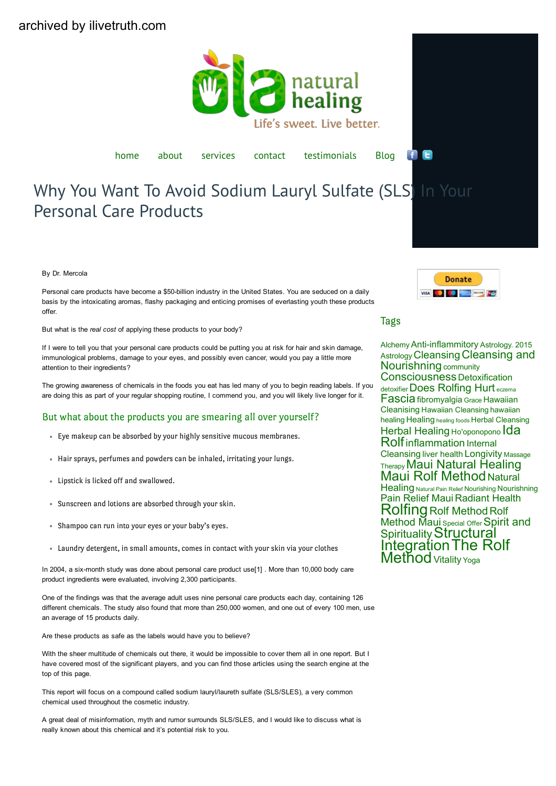<span id="page-0-0"></span>

[home](https://olanaturalhealing.com/) [about](https://olanaturalhealing.com/about/) [services](https://olanaturalhealing.com/services/) [contact](https://olanaturalhealing.com/contact/) [testimonials](https://olanaturalhealing.com/testimonials/) [Blog](https://olanaturalhealing.com/resources/blog/)

e  $\mathbf{f}$ 

# Why You Want To Avoid Sodium Lauryl Sulfate (SLS) In Your Personal Care Products

By Dr. Mercola

Personal care products have become a \$50-billion industry in the United States. You are seduced on a daily basis by the intoxicating aromas, flashy packaging and enticing promises of everlasting youth these products offer.

But what is the *real cost* of applying these products to your body?

If I were to tell you that your personal care products could be putting you at risk for hair and skin damage, immunological problems, damage to your eyes, and possibly even cancer, would you pay a little more attention to their ingredients?

The growing awareness of chemicals in the foods you eat has led many of you to begin reading labels. If you are doing this as part of your regular shopping routine, I commend you, and you will likely live longer for it.

#### But what about the products you are smearing all over yourself?

- Eye makeup can be absorbed by your highly sensitive mucous membranes.
- Hair sprays, perfumes and powders can be inhaled, irritating your lungs.
- Lipstick is licked off and swallowed.
- Sunscreen and lotions are absorbed through your skin.
- Shampoo can run into your eyes or your baby's eyes.
- Laundry detergent, in small amounts, comes in contact with your skin via your clothes

In 2004, a six-month study was done about personal care product use[1]. More than 10,000 body care product ingredients were evaluated, involving 2,300 participants.

One of the findings was that the average adult uses nine personal care products each day, containing 126 different chemicals. The study also found that more than 250,000 women, and one out of every 100 men, use an average of 15 products daily.

Are these products as safe as the labels would have you to believe?

With the sheer multitude of chemicals out there, it would be impossible to cover them all in one report. But I have covered most of the significant players, and you can find those articles using the search engine at the top of this page.

This report will focus on a compound called sodium lauryl/laureth sulfate (SLS/SLES), a very common chemical used throughout the cosmetic industry.

A great deal of misinformation, myth and rumor surrounds SLS/SLES, and I would like to discuss what is really known about this chemical and it's potential risk to you.



#### Tags

[Alchemy](https://olanaturalhealing.com/tag/alchemy/) Anti-inflammitory [Astrology.](https://olanaturalhealing.com/tag/astrology-2015-astrology/) 2015 [Astrology](https://olanaturalhealing.com/tag/astrology-2015-astrology/) [Cleansing](https://olanaturalhealing.com/tag/cleansing-and-nourishning/) Cleansing and [Nourishning](https://olanaturalhealing.com/tag/cleansing-and-nourishning/) [community](https://olanaturalhealing.com/tag/community/) [Consciousness](https://olanaturalhealing.com/tag/consciousness/) [Detoxification](https://olanaturalhealing.com/tag/detoxification/) [detoxifier](https://olanaturalhealing.com/tag/detoxifier/) Does [Rolfing](https://olanaturalhealing.com/tag/does-rolfing-hurt/) Hurt [eczema](https://olanaturalhealing.com/tag/eczema/) [Fascia](https://olanaturalhealing.com/tag/fascia/)[fibromyalgia](https://olanaturalhealing.com/tag/fibromyalgia/) [Grace](https://olanaturalhealing.com/tag/grace/) [Hawaiian](https://olanaturalhealing.com/tag/hawaiian-cleanising/) [Cleanising](https://olanaturalhealing.com/tag/hawaiian-cleanising/) Hawaiian [Cleansing](https://olanaturalhealing.com/tag/hawaiian-cleansing/) [hawaiian](https://olanaturalhealing.com/tag/hawaiian-healing/) [healing](https://olanaturalhealing.com/tag/hawaiian-healing/) [Healing](https://olanaturalhealing.com/tag/healing/) [healing](https://olanaturalhealing.com/tag/healing-foods/) foods Herbal [Cleansing](https://olanaturalhealing.com/tag/herbal-cleansing/) Herbal [Healing](https://olanaturalhealing.com/tag/herbal-healing/) [Ho'oponopono](https://olanaturalhealing.com/tag/hooponopono/) [Ida](https://olanaturalhealing.com/tag/ida-rolf/) [Rolf](https://olanaturalhealing.com/tag/ida-rolf/)[inflammation](https://olanaturalhealing.com/tag/inflammation/) [Internal](https://olanaturalhealing.com/tag/internal-cleansing/) [Cleansing](https://olanaturalhealing.com/tag/internal-cleansing/) liver [health](https://olanaturalhealing.com/tag/liver-health/) [Longivity](https://olanaturalhealing.com/tag/longivity/) [Massage](https://olanaturalhealing.com/tag/massage-therapy/) **[Therapy](https://olanaturalhealing.com/tag/massage-therapy/) Maui Natural [Healing](https://olanaturalhealing.com/tag/maui-natural-healing/)<br>Maui Rolf [Method](https://olanaturalhealing.com/tag/maui-rolfing/) [Natural](https://olanaturalhealing.com/tag/natural-healing/) [Healing](https://olanaturalhealing.com/tag/natural-healing/) [Natural](https://olanaturalhealing.com/tag/natural-pain-relief/) Pain Relief [Nourishing](https://olanaturalhealing.com/tag/nourishing/) [Nourishning](https://olanaturalhealing.com/tag/nourishning/)** Pain [Relief](https://olanaturalhealing.com/tag/pain-relief-maui/) Maui [Radiant](https://olanaturalhealing.com/tag/radiant-health/) Health [Rolfing](https://olanaturalhealing.com/tag/rolfing/) Rolf [Method](https://olanaturalhealing.com/tag/rolf-method/) [Rolf](https://olanaturalhealing.com/tag/rolfing-maui/) [Method](https://olanaturalhealing.com/tag/rolfing-maui/) Maui [Special](https://olanaturalhealing.com/tag/special-offer/) Offer [Spirit](https://olanaturalhealing.com/tag/spirit-and-spirituality/) and [Spirituality](https://olanaturalhealing.com/tag/spirit-and-spirituality/) [Structural](https://olanaturalhealing.com/tag/structural-integration/) [Integration](https://olanaturalhealing.com/tag/structural-integration/)The [Rolf](https://olanaturalhealing.com/tag/the-rolf-method/) **[Method](https://olanaturalhealing.com/tag/the-rolf-method/)** [Vitality](https://olanaturalhealing.com/tag/vitality/) [Yoga](https://olanaturalhealing.com/tag/yoga/)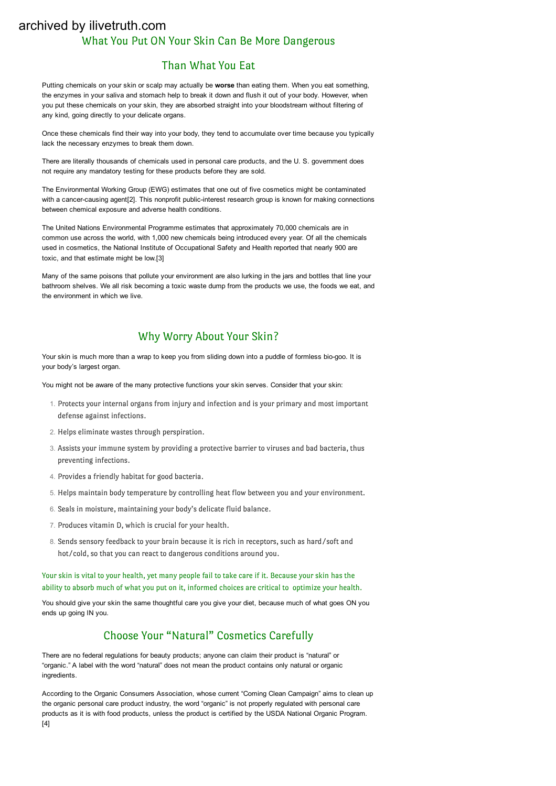## What You Put ON Your Skin Can Be More Dangerous archived by ilivetruth.com

## Than What You Eat

Putting chemicals on your skin or scalp may actually be worse than eating them. When you eat something, the enzymes in your saliva and stomach help to break it down and flush it out of your body. However, when you put these chemicals on your skin, they are absorbed straight into your bloodstream without filtering of any kind, going directly to your delicate organs.

Once these chemicals find their way into your body, they tend to accumulate over time because you typically lack the necessary enzymes to break them down.

There are literally thousands of chemicals used in personal care products, and the U. S. government does not require any mandatory testing for these products before they are sold.

The Environmental Working Group (EWG) estimates that one out of five cosmetics might be contaminated with a cancer-causing agent[2]. This nonprofit public-interest research group is known for making connections between chemical exposure and adverse health conditions.

The United Nations Environmental Programme estimates that approximately 70,000 chemicals are in common use across the world, with 1,000 new chemicals being introduced every year. Of all the chemicals used in cosmetics, the National Institute of Occupational Safety and Health reported that nearly 900 are toxic, and that estimate might be low.[3]

Many of the same poisons that pollute your environment are also lurking in the jars and bottles that line your bathroom shelves. We all risk becoming a toxic waste dump from the products we use, the foods we eat, and the environment in which we live.

## Why Worry About Your Skin?

Your skin is much more than a wrap to keep you from sliding down into a puddle of formless bio-goo. It is your body's largest organ.

You might not be aware of the many protective functions your skin serves. Consider that your skin:

- 1. Protects your internal organs from injury and infection and is your primary and most important defense against infections.
- 2. Helps eliminate wastes through perspiration.
- 3. Assists your immune system by providing a protective barrier to viruses and bad bacteria, thus preventing infections.
- 4. Provides a friendly habitat for good bacteria.
- 5. Helps maintain body temperature by controlling heat flow between you and your environment.
- 6. Seals in moisture, maintaining your body's delicate fluid balance.
- 7. Produces vitamin D, which is crucial for your health.
- 8. Sends sensory feedback to your brain because it is rich in receptors, such as hard/soft and hot/cold, so that you can react to dangerous conditions around you.

Your skin is vital to your health, yet many people fail to take care if it. Because your skin has the ability to absorb much of what you put on it, informed choices are critical to optimize your health.

You should give your skin the same thoughtful care you give your diet, because much of what goes ON you ends up going IN you.

## Choose Your "Natural" Cosmetics Carefully

There are no federal regulations for beauty products; anyone can claim their product is "natural" or "organic." A label with the word "natural" does not mean the product contains only natural or organic ingredients.

According to the Organic Consumers Association, whose current "Coming Clean Campaign" aims to clean up the organic personal care product industry, the word "organic" is not properly regulated with personal care products as it is with food products, unless the product is certified by the USDA National Organic Program. [4]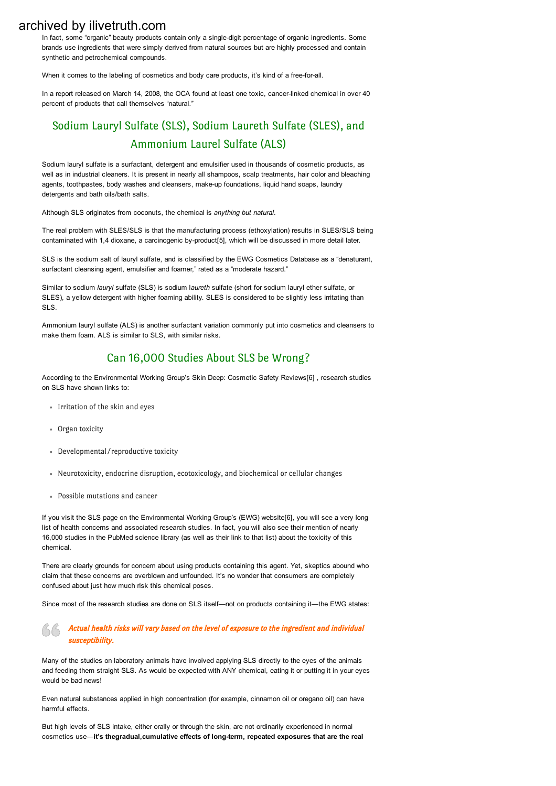In fact, some "organic" beauty products contain only a single-digit percentage of organic ingredients. Some brands use ingredients that were simply derived from natural sources but are highly processed and contain synthetic and petrochemical compounds.

When it comes to the labeling of cosmetics and body care products, it's kind of a free-for-all.

In a report released on March 14, 2008, the OCA found at least one toxic, cancer-linked chemical in over 40 percent of products that call themselves "natural."

## Sodium Lauryl Sulfate (SLS), Sodium Laureth Sulfate (SLES), and Ammonium Laurel Sulfate (ALS)

Sodium lauryl sulfate is a surfactant, detergent and emulsifier used in thousands of cosmetic products, as well as in industrial cleaners. It is present in nearly all shampoos, scalp treatments, hair color and bleaching agents, toothpastes, body washes and cleansers, make-up foundations, liquid hand soaps, laundry detergents and bath oils/bath salts.

Although SLS originates from coconuts, the chemical is *anything but natural*.

The real problem with SLES/SLS is that the manufacturing process (ethoxylation) results in SLES/SLS being contaminated with 1,4 dioxane, a carcinogenic by-product[5], which will be discussed in more detail later.

SLS is the sodium salt of lauryl sulfate, and is classified by the EWG Cosmetics Database as a "denaturant, surfactant cleansing agent, emulsifier and foamer," rated as a "moderate hazard."

Similar to sodium *lauryl* sulfate (SLS) is sodium l*aureth* sulfate (short for sodium lauryl ether sulfate, or SLES), a yellow detergent with higher foaming ability. SLES is considered to be slightly less irritating than SLS.

Ammonium lauryl sulfate (ALS) is another surfactant variation commonly put into cosmetics and cleansers to make them foam. ALS is similar to SLS, with similar risks.

## Can 16,000 Studies About SLS be Wrong?

According to the Environmental Working Group's Skin Deep: Cosmetic Safety Reviews[6] , research studies on SLS have shown links to:

- Irritation of the skin and eyes
- Organ toxicity
- Developmental/reproductive toxicity
- Neurotoxicity, endocrine disruption, ecotoxicology, and biochemical or cellular changes
- Possible mutations and cancer

If you visit the SLS page on the Environmental Working Group's (EWG) website[6], you will see a very long list of health concerns and associated research studies. In fact, you will also see their mention of nearly 16,000 studies in the PubMed science library (as well as their link to that list) about the toxicity of this chemical.

There are clearly grounds for concern about using products containing this agent. Yet, skeptics abound who claim that these concerns are overblown and unfounded. It's no wonder that consumers are completely confused about just how much risk this chemical poses.

Since most of the research studies are done on SLS itself—not on products containing it—the EWG states:

#### $\triangle$   $\triangle$  Actual health risks will vary based on the level of exposure to the ingredient and individual susceptibility.

Many of the studies on laboratory animals have involved applying SLS directly to the eyes of the animals and feeding them straight SLS. As would be expected with ANY chemical, eating it or putting it in your eyes would be bad news!

Even natural substances applied in high concentration (for example, cinnamon oil or oregano oil) can have harmful effects.

But high levels of SLS intake, either orally or through the skin, are not ordinarily experienced in normal cosmetics use—it's thegradual,cumulative effects of long-term, repeated exposures that are the real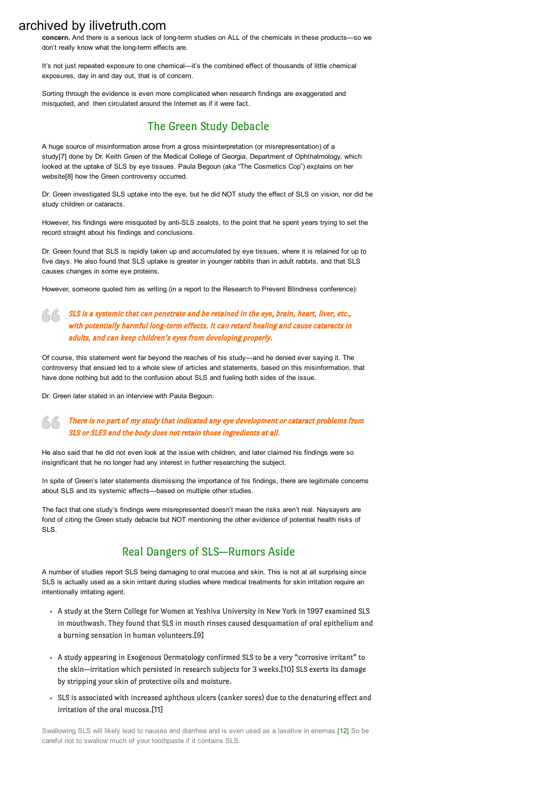concern. And there is a serious lack of long-term studies on ALL of the chemicals in these products—so we don't really know what the long-term effects are.

It's not just repeated exposure to one chemical—it's the combined effect of thousands of little chemical exposures, day in and day out, that is of concern.

Sorting through the evidence is even more complicated when research findings are exaggerated and misquoted, and then circulated around the Internet as if it were fact.

## The Green Study Debacle

A huge source of misinformation arose from a gross misinterpretation (or misrepresentation) of a study[7] done by Dr. Keith Green of the Medical College of Georgia, Department of Ophthalmology, which looked at the uptake of SLS by eye tissues. Paula Begoun (aka "The Cosmetics Cop") explains on her website[8] how the Green controversy occurred.

Dr. Green investigated SLS uptake into the eye, but he did NOT study the effect of SLS on vision, nor did he study children or cataracts.

However, his findings were misquoted by anti-SLS zealots, to the point that he spent years trying to set the record straight about his findings and conclusions.

Dr. Green found that SLS is rapidly taken up and accumulated by eye tissues, where it is retained for up to five days. He also found that SLS uptake is greater in younger rabbits than in adult rabbits, and that SLS causes changes in some eye proteins.

However, someone quoted him as writing (in a report to the Research to Prevent Blindness conference):

#### **SLS** is a systemic that can penetrate and be retained in the eye, brain, heart, liver, etc., with potentially harmful long-term effects. It can retard healing and cause cataracts in adults, and can keep children's eyes from developing properly.

Of course, this statement went far beyond the reaches of his study—and he denied ever saying it. The controversy that ensued led to a whole slew of articles and statements, based on this misinformation, that have done nothing but add to the confusion about SLS and fueling both sides of the issue.

Dr. Green later stated in an interview with Paula Begoun:

#### There is no part of my study that indicated any eye development or cataract problems from SLS or SLES and the body does not retain those ingredients at all.

He also said that he did not even look at the issue with children, and later claimed his findings were so insignificant that he no longer had any interest in further researching the subject.

In spite of Green's later statements dismissing the importance of his findings, there are legitimate concerns about SLS and its systemic effects—based on multiple other studies.

The fact that one study's findings were misrepresented doesn't mean the risks aren't real. Naysayers are fond of citing the Green study debacle but NOT mentioning the other evidence of potential health risks of SLS.

## Real Dangers of SLS—Rumors Aside

A number of studies report SLS being damaging to oral mucosa and skin. This is not at all surprising since SLS is actually used as a skin irritant during studies where medical treatments for skin irritation require an intentionally irritating agent.

- A study at the Stern College for Women at Yeshiva University in New York in 1997 examined SLS in mouthwash. They found that SLS in mouth rinses caused desquamation of oral epithelium and a burning sensation in human volunteers.[9]
- A study appearing in Exogenous Dermatology confirmed SLS to be a very "corrosive irritant" to the skin—irritation which persisted in research subjects for 3 weeks.[10] SLS exerts its damage by stripping your skin of protective oils and moisture.
- SLS is associated with increased aphthous ulcers (canker sores) due to the denaturing effect and irritation of the oral mucosa.[11]

Swallowing SLS will likely lead to nausea and diarrhea and is even used as a laxative in enemas.[12] So be careful not to swallow much of your toothpaste if it contains SLS.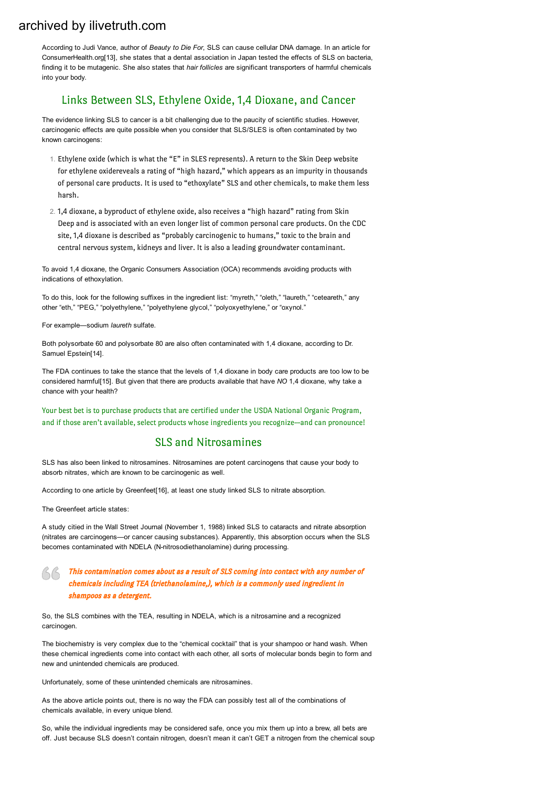According to Judi Vance, author of *Beauty to Die For*, SLS can cause cellular DNA damage. In an article for ConsumerHealth.org[13], she states that a dental association in Japan tested the effects of SLS on bacteria, finding it to be mutagenic. She also states that *hair follicles* are significant transporters of harmful chemicals into your body.

### Links Between SLS, Ethylene Oxide, 1,4 Dioxane, and Cancer

The evidence linking SLS to cancer is a bit challenging due to the paucity of scientific studies. However, carcinogenic effects are quite possible when you consider that SLS/SLES is often contaminated by two known carcinogens:

- 1. Ethylene oxide (which is what the "E" in SLES represents). A return to the Skin Deep website for ethylene oxidereveals a rating of "high hazard," which appears as an impurity in thousands of personal care products. It is used to "ethoxylate" SLS and other chemicals, to make them less harsh.
- 2. 1,4 dioxane, a byproduct of ethylene oxide, also receives a "high hazard" rating from Skin Deep and is associated with an even longer list of common personal care products. On the CDC site, 1,4 dioxane is described as "probably carcinogenic to humans," toxic to the brain and central nervous system, kidneys and liver. It is also a leading groundwater contaminant.

To avoid 1,4 dioxane, the Organic Consumers Association (OCA) recommends avoiding products with indications of ethoxylation.

To do this, look for the following suffixes in the ingredient list: "myreth," "oleth," "laureth," "ceteareth," any other "eth," "PEG," "polyethylene," "polyethylene glycol," "polyoxyethylene," or "oxynol."

For example—sodium *laureth* sulfate.

Both polysorbate 60 and polysorbate 80 are also often contaminated with 1,4 dioxane, according to Dr. Samuel Epstein[14].

The FDA continues to take the stance that the levels of 1,4 dioxane in body care products are too low to be considered harmful[15]. But given that there are products available that have *NO* 1,4 dioxane, why take a chance with your health?

Your best bet is to purchase products that are certified under the USDA National Organic Program, and if those aren't available, select products whose ingredients you recognize—and can pronounce!

#### SLS and Nitrosamines

SLS has also been linked to nitrosamines. Nitrosamines are potent carcinogens that cause your body to absorb nitrates, which are known to be carcinogenic as well.

According to one article by Greenfeet[16], at least one study linked SLS to nitrate absorption.

The Greenfeet article states:

A study citied in the Wall Street Journal (November 1, 1988) linked SLS to cataracts and nitrate absorption (nitrates are carcinogens—or cancer causing substances). Apparently, this absorption occurs when the SLS becomes contaminated with NDELA (N-nitrosodiethanolamine) during processing.

#### This contamination comes about as a result of SLS coming into contact with any number of chemicals including TEA (triethanolamine,), which is a commonly used ingredient in shampoos as a detergent.

So, the SLS combines with the TEA, resulting in NDELA, which is a nitrosamine and a recognized carcinogen.

The biochemistry is very complex due to the "chemical cocktail" that is your shampoo or hand wash. When these chemical ingredients come into contact with each other, all sorts of molecular bonds begin to form and new and unintended chemicals are produced.

Unfortunately, some of these unintended chemicals are nitrosamines.

As the above article points out, there is no way the FDA can possibly test all of the combinations of chemicals available, in every unique blend.

So, while the individual ingredients may be considered safe, once you mix them up into a brew, all bets are off. Just because SLS doesn't contain nitrogen, doesn't mean it can't GET a nitrogen from the chemical soup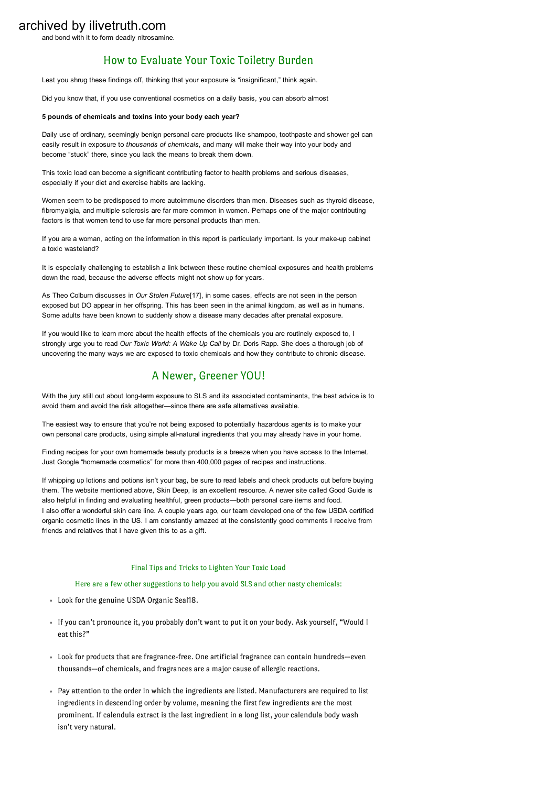and bond with it to form deadly nitrosamine.

### How to Evaluate Your Toxic Toiletry Burden

Lest you shrug these findings off, thinking that your exposure is "insignificant," think again.

Did you know that, if you use conventional cosmetics on a daily basis, you can absorb almost

#### 5 pounds of chemicals and toxins into your body each year?

Daily use of ordinary, seemingly benign personal care products like shampoo, toothpaste and shower gel can easily result in exposure to *thousands of chemicals*, and many will make their way into your body and become "stuck" there, since you lack the means to break them down.

This toxic load can become a significant contributing factor to health problems and serious diseases, especially if your diet and exercise habits are lacking.

Women seem to be predisposed to more autoimmune disorders than men. Diseases such as thyroid disease, fibromyalgia, and multiple sclerosis are far more common in women. Perhaps one of the major contributing factors is that women tend to use far more personal products than men.

If you are a woman, acting on the information in this report is particularly important. Is your make-up cabinet a toxic wasteland?

It is especially challenging to establish a link between these routine chemical exposures and health problems down the road, because the adverse effects might not show up for years.

As Theo Colburn discusses in *Our Stolen Future*[17], in some cases, effects are not seen in the person exposed but DO appear in her offspring. This has been seen in the animal kingdom, as well as in humans. Some adults have been known to suddenly show a disease many decades after prenatal exposure.

If you would like to learn more about the health effects of the chemicals you are routinely exposed to, I strongly urge you to read *Our Toxic World: A Wake Up Call* by Dr. Doris Rapp. She does a thorough job of uncovering the many ways we are exposed to toxic chemicals and how they contribute to chronic disease.

## A Newer, Greener YOU!

With the jury still out about long-term exposure to SLS and its associated contaminants, the best advice is to avoid them and avoid the risk altogether—since there are safe alternatives available.

The easiest way to ensure that you're not being exposed to potentially hazardous agents is to make your own personal care products, using simple all-natural ingredients that you may already have in your home.

Finding recipes for your own homemade beauty products is a breeze when you have access to the Internet. Just Google "homemade cosmetics" for more than 400,000 pages of recipes and instructions.

If whipping up lotions and potions isn't your bag, be sure to read labels and check products out before buying them. The website mentioned above, Skin Deep, is an excellent resource. A newer site called Good Guide is also helpful in finding and evaluating healthful, green products—both personal care items and food. I also offer a wonderful skin care line. A couple years ago, our team developed one of the few USDA certified organic cosmetic lines in the US. I am constantly amazed at the consistently good comments I receive from friends and relatives that I have given this to as a gift.

#### Final Tips and Tricks to Lighten Your Toxic Load

#### Here are a few other suggestions to help you avoid SLS and other nasty chemicals:

- Look for the genuine USDA Organic Seal18.
- If you can't pronounce it, you probably don't want to put it on your body. Ask yourself, "Would I eat this?"
- Look for products that are fragrance-free. One artificial fragrance can contain hundreds—even thousands—of chemicals, and fragrances are a major cause of allergic reactions.
- Pay attention to the order in which the ingredients are listed. Manufacturers are required to list ingredients in descending order by volume, meaning the first few ingredients are the most prominent. If calendula extract is the last ingredient in a long list, your calendula body wash isn't very natural.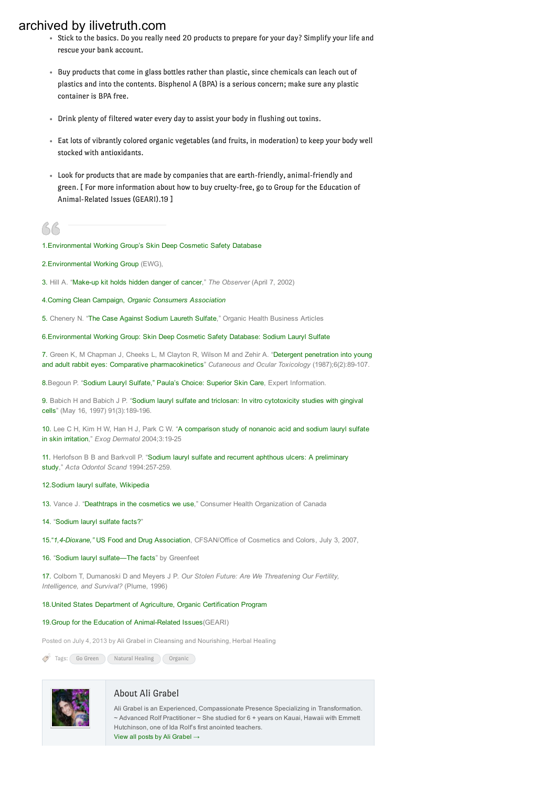- Stick to the basics. Do you really need 20 products to prepare for your day? Simplify your life and rescue your bank account.
- Buy products that come in glass bottles rather than plastic, since chemicals can leach out of plastics and into the contents. Bisphenol A (BPA) is a serious concern; make sure any plastic container is BPA free.
- Drink plenty of filtered water every day to assist your body in flushing out toxins.
- Eat lots of vibrantly colored organic vegetables (and fruits, in moderation) to keep your body well stocked with antioxidants.
- Look for products that are made by companies that are earth-friendly, animal-friendly and green. [ For more information about how to buy cruelty-free, go to Group for the Education of Animal-Related Issues (GEARI).19 ]
- 

#### 1.[Environmental](http://articles.mercola.com/sites/articles/archive/2010/07/13/www.cosmeticdatabase.com) Working Group's Skin Deep Cosmetic Safety Database

- 2.[Environmental](http://ewg.org/) Working Group (EWG),
- 3. Hill A. "Make-up kit holds hidden danger of cancer," The Observer (April 7, 2002)
- 4.Coming Clean [Campaign,](http://articles.mercola.com/sites/articles/archive/2010/07/13/www.organicconsumers.org/bodycare/index.cfm) *Organic Consumers Association*
- 5. Chenery N. "The Case Against [Sodium](http://articles.mercola.com/sites/articles/archive/2010/07/13/www.chooseorganics.com/organicarticles/sodiumlaurethsulfate.htm) Laureth Sulfate," Organic Health Business Articles

6.[Environmental](http://articles.mercola.com/sites/articles/archive/2010/07/13/www.cosmeticsdatabase.com/ingredient.php?ingred06=706110) Working Group: Skin Deep Cosmetic Safety Database: Sodium Lauryl Sulfate

7. Green K, M Chapman J, Cheeks L, M Clayton R, Wilson M and Zehir A. "Detergent [penetration](http://informahealthcare.com/doi/abs/10.3109/15569528709052168?cookieSet=1&journalCode=cot) into young and adult rabbit eyes: Comparative [pharmacokinetics](http://informahealthcare.com/doi/abs/10.3109/15569528709052168?cookieSet=1&journalCode=cot)" *Cutaneous and Ocular Toxicology* (1987);6(2):89107.

8.Begoun P. "Sodium Lauryl [Sulfate,"](http://articles.mercola.com/sites/articles/archive/2010/07/13/www.cosmeticscop.com/sodium-lauryl-laureth-sulfate-SLS-SLES.aspx) Paula's Choice: Superior Skin Care, Expert Information.

9. Babich H and Babich J P. "Sodium lauryl sulfate and triclosan: In vitro [cytotoxicity](http://articles.mercola.com/sites/articles/archive/2010/07/13/www.sciencedirect.com/science?_ob=ArticleURL&_udi=B6TCR-3RJG2WJ-3&_user=10&_coverDate=05/16/1997&_rdoc=1&_fmt=high&_orig=search&_sort=d&_docanchor=&view=c&_searchStrId=1262389951&_rerunOrigin=google&_acct=C000050221&_version=1&_urlVersion=0&_userid=10&md5=8bfc0bfa1ef64d40a7becf0faf773085) studies with gingival [cells](http://articles.mercola.com/sites/articles/archive/2010/07/13/www.sciencedirect.com/science?_ob=ArticleURL&_udi=B6TCR-3RJG2WJ-3&_user=10&_coverDate=05/16/1997&_rdoc=1&_fmt=high&_orig=search&_sort=d&_docanchor=&view=c&_searchStrId=1262389951&_rerunOrigin=google&_acct=C000050221&_version=1&_urlVersion=0&_userid=10&md5=8bfc0bfa1ef64d40a7becf0faf773085)" (May 16, 1997) 91(3):189-196.

10. Lee C H, Kim H W, Han H J, Park C W. "A [comparison](http://content.karger.com/ProdukteDB/produkte.asp?Doi=84139) study of nonanoic acid and sodium lauryl sulfate in skin [irritation](http://content.karger.com/ProdukteDB/produkte.asp?Doi=84139)," Exog Dermatol 2004;3:19-25

11. Herlofson B B and Barkvoll P. "Sodium lauryl sulfate and recurrent aphthous ulcers: A [preliminary](http://articles.mercola.com/sites/articles/archive/2010/07/13/www.crowndiamond.net/techpack/0535.pdf) [study](http://articles.mercola.com/sites/articles/archive/2010/07/13/www.crowndiamond.net/techpack/0535.pdf)," *Acta Odontol Scand* 1994:257-259.

#### 12.Sodium lauryl sulfate, [Wikipedia](http://en.wikipedia.org/wiki/Sodium_dodecyl_sulfate)

- 13. Vance J. ["Deathtraps](http://www.consumerhealth.org/articles/display.cfm?ID=19990303213610) in the cosmetics we use," Consumer Health Organization of Canada
- 14. "[Sodium](http://articles.mercola.com/sites/articles/archive/2010/07/13/www.health-report.co.uk/sodium_lauryl_sulphate.html) lauryl sulfate facts?"
- 15.["](http://articles.mercola.com/sites/articles/archive/2010/07/13/www.cfsan.fda.gov/~dms/cosdiox.html)*1,4Dioxane,"* US Food and Drug Association, CFSAN/Office of Cosmetics and Colors, July 3, 2007,
- 16. "Sodium lauryl [sulfate—The](http://articles.mercola.com/sites/articles/archive/2010/07/13/www.holistichealthtools.com/sls.html) facts" by Greenfeet

17. Colborn T, Dumanoski D and Meyers J P. *Our Stolen Future: Are We Threatening Our Fertility, Intelligence, and Survival?* (Plume, 1996)

#### 18.United States Department of Agriculture, Organic [Certification](http://articles.mercola.com/sites/articles/archive/2010/07/13/www.usda.gov/wps/portal/!ut/p/_s.7_0_A/7_0_1OB?navid=ORGANIC_CERTIFICATIO&parentnav=AGRICULTURE&navtype=RT) Program

#### 19. Group for the Education of Animal-Related Issues (GEARI)

Posted on July 4, 2013 by Ali [Grabel](https://olanaturalhealing.com/author/admin/) in Cleansing and [Nourishing](https://olanaturalhealing.com/category/cleansing-and-nourishing/), Herbal [Healing](https://olanaturalhealing.com/category/herbal-healing/)

Tags: Go [Green](https://olanaturalhealing.com/tag/go-green/) Natural [Healing](https://olanaturalhealing.com/tag/natural-healing/) [Organic](https://olanaturalhealing.com/tag/organic/)



#### About Ali Grabel

Ali Grabel is an Experienced, Compassionate Presence Specializing in Transformation. ~ Advanced Rolf Practitioner ~ She studied for 6 + years on Kauai, Hawaii with Emmett Hutchinson, one of Ida Rolf's first anointed teachers. View all posts by Ali [Grabel](https://olanaturalhealing.com/author/admin/)  $\rightarrow$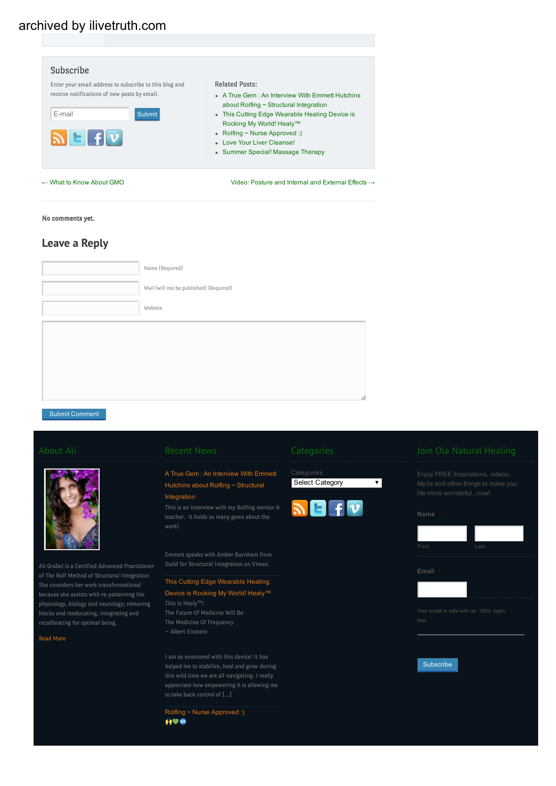| Enter your email address to subscribe to this blog and<br>receive notifications of new posts by email.<br>E-mail<br><b>Submit</b><br>$\mathbf{N}$ leifiv | <b>Related Posts:</b><br>• A True Gem : An Interview With Emmett Hutchins<br>about Rolfing $\sim$ Structural Integration<br>• This Cutting Edge Wearable Healing Device is<br>Rocking My World! Healy™<br>• Rolfing $\sim$ Nurse Approved :)<br>. Love Your Liver Cleansel<br>• Summer Special! Massage Therapy |
|----------------------------------------------------------------------------------------------------------------------------------------------------------|-----------------------------------------------------------------------------------------------------------------------------------------------------------------------------------------------------------------------------------------------------------------------------------------------------------------|
| $\leftarrow$ What to Know About GMO                                                                                                                      | Video: Posture and Internal and External Effects $\rightarrow$                                                                                                                                                                                                                                                  |

#### No comments yet.

### Leave a Reply

| Name (Required)                         |
|-----------------------------------------|
| Mail (will not be published) (Required) |
| Website                                 |
|                                         |
|                                         |
|                                         |
|                                         |
|                                         |

Submit Comment



of The Rolf Method of Structural Integration because she assists with re-patterning the blocks and reeducating, integrating and recalibrating for optimal being.

Read [More](https://olanaturalhealing.com/about)

### A True Gem : An [Interview](https://olanaturalhealing.com/alchemy/a-true-gem-an-interview-with-emmett-hutchins-about-rolfing-structural-integration/) With Emmett Hutchins about Rolfing ~ [Structural](https://olanaturalhealing.com/alchemy/a-true-gem-an-interview-with-emmett-hutchins-about-rolfing-structural-integration/)

#### [Integration](https://olanaturalhealing.com/alchemy/a-true-gem-an-interview-with-emmett-hutchins-about-rolfing-structural-integration/)

teacher. It holds so many gems about the

Emmett speaks with Amber Burnham from Guild for Structural Integration on Vimeo.

#### This Cutting Edge [Wearable](https://olanaturalhealing.com/pain-relief-healing/healy-wearable-frequency-healing/) Healing Device is [Rocking](https://olanaturalhealing.com/pain-relief-healing/healy-wearable-frequency-healing/) My World! Healy™

This Is Healy™! ~ Albert Einstein

helped me to stabilize, heal and grow during this wild time we are all navigating. I really appreciate how empowering it is allowing me to take back control of […]

Rolfing ~ Nurse [Approved](https://olanaturalhealing.com/natural-healing/rolfing-nurse-approved/) :)<br> $\bigoplus$ 

 $\overline{\mathbf{v}}$